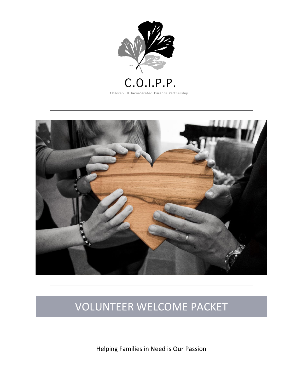



# VOLUNTEER WELCOME PACKET

Helping Families in Need is Our Passion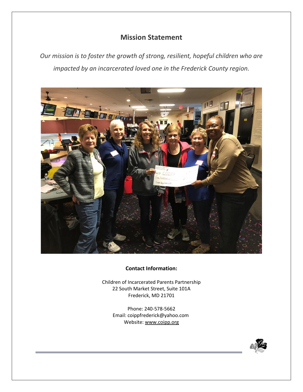# **Mission Statement**

*Our mission is to foster the growth of strong, resilient, hopeful children who are impacted by an incarcerated loved one in the Frederick County region.*



# **Contact Information:**

Children of Incarcerated Parents Partnership 22 South Market Street, Suite 101A Frederick, MD 21701

> Phone: 240-578-5662 Email: coippfrederick@yahoo.com Website: [www.coipp.org](http://www.coipp.org/)

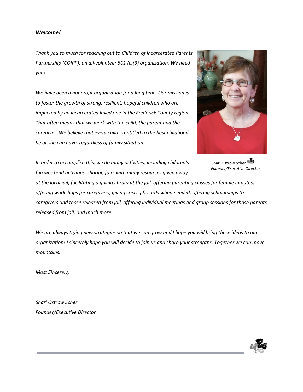#### *Welcome!*

*Thank you so much for reaching out to Children of Incarcerated Parents Partnership (COIPP), an all-volunteer 501 (c)(3) organization. We need you!*

*We have been a nonprofit organization for a long time. Our mission is to foster the growth of strong, resilient, hopeful children who are impacted by an incarcerated loved one in the Frederick County region. That often means that we work with the child, the parent and the caregiver. We believe that every child is entitled to the best childhood he or she can have, regardless of family situation.*



*In order to accomplish this, we do many activities, including children's fun weekend activities, sharing fairs with many resources given away* 

Shari Ostrow Scher  *Founder/Executive Director*

*at the local jail, facilitating a giving library at the jail, offering parenting classes for female inmates, offering workshops for caregivers, giving crisis gift cards when needed, offering scholarships to caregivers and those released from jail, offering individual meetings and group sessions for those parents released from jail, and much more.* 

*We are always trying new strategies so that we can grow and I hope you will bring these ideas to our organization! I sincerely hope you will decide to join us and share your strengths. Together we can move mountains.* 

*Most Sincerely,* 

*Shari Ostrow Scher Founder/Executive Director*

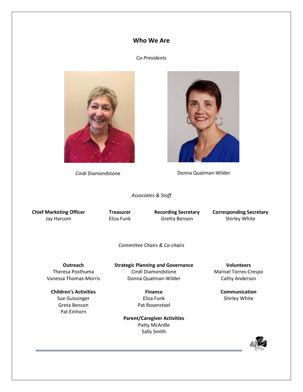# **Who We Are**

# *Co-Presidents*



Cindi Diamondstone **Donna Quatman-Wilder** 

*Associates & Staff*

**Chief Marketing Officer** Jay Harcom

**Treasurer** Eliza Funk **Recording Secretary** Gretta Benson

**Corresponding Secretary** Shirley White

*Committee Chairs & Co-chairs*

**Outreach** Theresa Posthuma Vanessa Thomas-Morris

**Children's Activities**

Sue Guissinger Greta Benson Pat Einhorn

**Strategic Planning and Governance** Cindi Diamondstone Donna Quatman-Wilder

> **Finance** Eliza Funk Pat Rosensteel

**Parent/Caregiver Activities** Patty McArdle Sally Smith

**Volunteers** Marisel Torres-Crespo Cathy Anderson

> **Communication** Shirley White

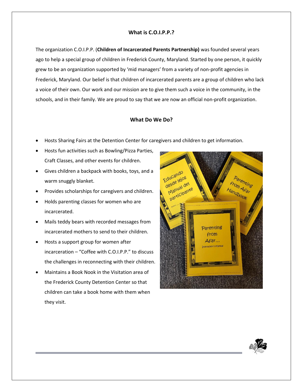# **What is C.O.I.P.P.?**

The organization C.O.I.P.P. (**Children of Incarcerated Parents Partnership)** was founded several years ago to help a special group of children in Frederick County, Maryland. Started by one person, it quickly grew to be an organization supported by 'mid managers' from a variety of non-profit agencies in Frederick, Maryland. Our belief is that children of incarcerated parents are a group of children who lack a voice of their own. Our work and our mission are to give them such a voice in the community, in the schools, and in their family. We are proud to say that we are now an official non-profit organization.

# **What Do We Do?**

- Hosts Sharing Fairs at the Detention Center for caregivers and children to get information.
- Hosts fun activities such as Bowling/Pizza Parties, Craft Classes, and other events for children.
- Gives children a backpack with books, toys, and a warm snuggly blanket.
- Provides scholarships for caregivers and children.
- Holds parenting classes for women who are incarcerated.
- Mails teddy bears with recorded messages from incarcerated mothers to send to their children.
- Hosts a support group for women after incarceration – "Coffee with C.O.I.P.P." to discuss the challenges in reconnecting with their children.
- Maintains a Book Nook in the Visitation area of the Frederick County Detention Center so that children can take a book home with them when they visit.



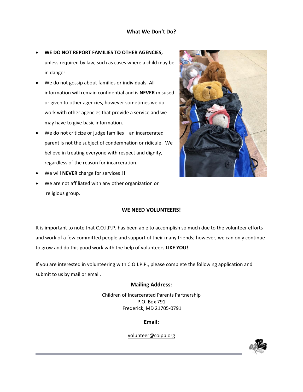# **What We Don't Do?**

- **WE DO NOT REPORT FAMILIES TO OTHER AGENCIES,**  unless required by law, such as cases where a child may be in danger.
- We do not gossip about families or individuals. All information will remain confidential and is **NEVER** misused or given to other agencies, however sometimes we do work with other agencies that provide a service and we may have to give basic information.
- We do not criticize or judge families an incarcerated parent is not the subject of condemnation or ridicule. We believe in treating everyone with respect and dignity, regardless of the reason for incarceration.
- We will **NEVER** charge for services!!!
- We are not affiliated with any other organization or religious group.

## **WE NEED VOLUNTEERS!**

It is important to note that C.O.I.P.P. has been able to accomplish so much due to the volunteer efforts and work of a few committed people and support of their many friends; however, we can only continue to grow and do this good work with the help of volunteers **LIKE YOU!** 

If you are interested in volunteering with C.O.I.P.P., please complete the following application and submit to us by mail or email.

## **Mailing Address:**

Children of Incarcerated Parents Partnership P.O. Box 791 Frederick, MD 21705-0791

**Email:**

[volunteer@coipp.org](mailto:volunteer@coipp.org)